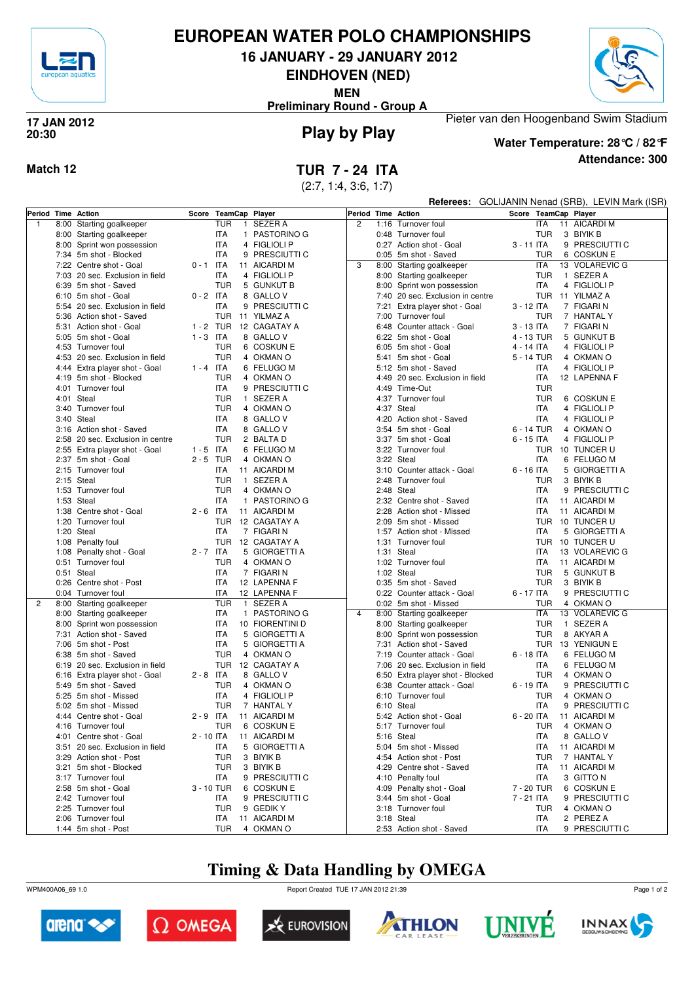

# **EUROPEAN WATER POLO CHAMPIONSHIPS**

**16 JANUARY - 29 JANUARY 2012**

**EINDHOVEN (NED)**

**MEN**



**Preliminary Round - Group A**

### **Play by Play 17 JAN 2012 20:30**



**Water Temperature: 28°C / 82°F**

Pieter van den Hoogenband Swim Stadium

**Attendance: 300**

(2:7, 1:4, 3:6, 1:7)

| Referees: GOLIJANIN Nenad (SRB), LEVIN Mark (ISR) |
|---------------------------------------------------|
|---------------------------------------------------|

|              | Period Time Action               |             |            | Score TeamCap Player    |                |      | Period Time Action               |              |            | Score TeamCap Player |
|--------------|----------------------------------|-------------|------------|-------------------------|----------------|------|----------------------------------|--------------|------------|----------------------|
| $\mathbf{1}$ | 8:00 Starting goalkeeper         |             | TUR        | 1 SEZER A               | $\overline{c}$ |      | 1:16 Turnover foul               |              | <b>ITA</b> | 11 AICARDI M         |
|              | 8:00 Starting goalkeeper         |             | <b>ITA</b> | 1 PASTORINO G           |                |      | 0:48 Turnover foul               |              | <b>TUR</b> | 3 BIYIK B            |
|              | 8:00 Sprint won possession       |             | <b>ITA</b> | 4 FIGLIOLI P            |                |      | 0:27 Action shot - Goal          | 3 - 11 ITA   |            | 9 PRESCIUTTI C       |
|              | 7:34 5m shot - Blocked           |             | <b>ITA</b> | 9 PRESCIUTTI C          |                |      | 0:05 5m shot - Saved             |              | <b>TUR</b> | 6 COSKUN E           |
|              | 7:22 Centre shot - Goal          | $0 - 1$ ITA |            | 11 AICARDI M            | 3              |      | 8:00 Starting goalkeeper         |              | <b>ITA</b> | 13 VOLAREVIC G       |
|              | 7:03 20 sec. Exclusion in field  |             | <b>ITA</b> | 4 FIGLIOLI P            |                |      | 8:00 Starting goalkeeper         |              | <b>TUR</b> | 1 SEZER A            |
|              | 6:39 5m shot - Saved             |             | TUR        | 5 GUNKUT B              |                |      | 8:00 Sprint won possession       |              | ITA        | 4 FIGLIOLI P         |
|              |                                  |             |            |                         |                |      |                                  |              |            |                      |
|              | 6:10 5m shot - Goal              | $0 - 2$ ITA |            | 8 GALLO V               |                |      | 7:40 20 sec. Exclusion in centre |              |            | TUR 11 YILMAZ A      |
|              | 5:54 20 sec. Exclusion in field  |             | <b>ITA</b> | 9 PRESCIUTTI C          |                |      | 7:21 Extra player shot - Goal    | 3 - 12 ITA   |            | 7 FIGARI N           |
|              | 5:36 Action shot - Saved         |             | <b>TUR</b> | 11 YILMAZ A             |                |      | 7:00 Turnover foul               |              | <b>TUR</b> | 7 HANTAL Y           |
|              | 5:31 Action shot - Goal          | $1 - 2$ TUR |            | 12 CAGATAY A            |                |      | 6:48 Counter attack - Goal       | 3 - 13 ITA   |            | 7 FIGARI N           |
|              | 5:05 5m shot - Goal              | $1 - 3$ ITA |            | 8 GALLO V               |                |      | 6:22 5m shot - Goal              | 4 - 13 TUR   |            | 5 GUNKUT B           |
|              | 4:53 Turnover foul               |             | <b>TUR</b> | 6 COSKUN E              |                | 6:05 | 5m shot - Goal                   | 4 - 14 ITA   |            | 4 FIGLIOLI P         |
|              | 4:53 20 sec. Exclusion in field  |             | <b>TUR</b> | 4 OKMAN O               |                |      | 5:41 5m shot - Goal              | 5 - 14 TUR   |            | 4 OKMAN O            |
|              | 4:44 Extra player shot - Goal    | $1 - 4$ ITA |            | 6 FELUGO M              |                |      | 5:12 5m shot - Saved             |              | <b>ITA</b> | 4 FIGLIOLI P         |
|              | 4:19 5m shot - Blocked           |             | <b>TUR</b> | 4 OKMAN O               |                |      | 4:49 20 sec. Exclusion in field  |              | <b>ITA</b> | 12 LAPENNA F         |
|              | 4:01 Turnover foul               |             | ITA        | 9 PRESCIUTTI C          |                |      | 4:49 Time-Out                    |              | <b>TUR</b> |                      |
|              | 4:01 Steal                       |             | TUR        | 1 SEZER A               |                |      | 4:37 Turnover foul               |              | <b>TUR</b> | 6 COSKUN E           |
|              | 3:40 Turnover foul               |             | <b>TUR</b> | 4 OKMAN O               |                |      | 4:37 Steal                       |              | <b>ITA</b> | 4 FIGLIOLI P         |
|              | 3:40 Steal                       |             | <b>ITA</b> | 8 GALLO V               |                |      | 4:20 Action shot - Saved         |              | <b>ITA</b> | 4 FIGLIOLI P         |
|              | 3:16 Action shot - Saved         |             | <b>ITA</b> | 8 GALLO V               |                |      | 3:54 5m shot - Goal              | 6 - 14 TUR   |            | 4 OKMAN O            |
|              | 2:58 20 sec. Exclusion in centre |             | <b>TUR</b> | 2 BALTA D               |                |      | 3:37 5m shot - Goal              | $6 - 15$ ITA |            | 4 FIGLIOLI P         |
|              | 2:55 Extra player shot - Goal    | $1 - 5$ ITA |            | 6 FELUGO M              |                |      | 3:22 Turnover foul               |              |            | TUR 10 TUNCER U      |
|              | 2:37 5m shot - Goal              | 2-5 TUR     |            | 4 OKMAN O               |                |      | 3:22 Steal                       |              | <b>ITA</b> | 6 FELUGO M           |
|              | 2:15 Turnover foul               |             | ITA        | 11 AICARDI M            |                |      | 3:10 Counter attack - Goal       | 6 - 16 ITA   |            | 5 GIORGETTI A        |
|              | 2:15 Steal                       |             | <b>TUR</b> | 1 SEZER A               |                |      | 2:48 Turnover foul               |              | <b>TUR</b> | 3 BIYIK B            |
|              | 1:53 Turnover foul               |             | <b>TUR</b> | 4 OKMAN O               |                |      | 2:48 Steal                       |              | <b>ITA</b> | 9 PRESCIUTTI C       |
|              | 1:53 Steal                       |             | <b>ITA</b> | 1 PASTORINO G           |                |      | 2:32 Centre shot - Saved         |              | <b>ITA</b> | 11 AICARDI M         |
|              |                                  |             |            |                         |                |      | 2:28 Action shot - Missed        |              |            | 11 AICARDI M         |
|              | 1:38 Centre shot - Goal          | $2 - 6$ ITA |            | 11 AICARDI M            |                |      |                                  |              | <b>ITA</b> |                      |
|              | 1:20 Turnover foul               |             | <b>TUR</b> | 12 CAGATAY A            |                |      | 2:09 5m shot - Missed            |              | <b>TUR</b> | 10 TUNCER U          |
|              | 1:20 Steal                       |             | <b>ITA</b> | 7 FIGARI N              |                |      | 1:57 Action shot - Missed        |              | <b>ITA</b> | 5 GIORGETTI A        |
|              | 1:08 Penalty foul                |             | <b>TUR</b> | 12 CAGATAY A            |                | 1:31 | Turnover foul                    |              | TUR        | 10 TUNCER U          |
|              | 1:08 Penalty shot - Goal         | $2 - 7$ ITA |            | 5 GIORGETTI A           |                |      | 1:31 Steal                       |              | <b>ITA</b> | 13 VOLAREVIC G       |
|              | 0:51 Turnover foul               |             | <b>TUR</b> | 4 OKMAN O               |                |      | 1:02 Turnover foul               |              | <b>ITA</b> | 11 AICARDI M         |
|              | 0:51 Steal                       |             | <b>ITA</b> | 7 FIGARI N              |                |      | 1:02 Steal                       |              | <b>TUR</b> | 5 GUNKUT B           |
|              | 0:26 Centre shot - Post          |             | <b>ITA</b> | 12 LAPENNA F            |                |      | 0:35 5m shot - Saved             |              | <b>TUR</b> | 3 BIYIK B            |
|              | 0:04 Turnover foul               |             | <b>ITA</b> | 12 LAPENNA F            |                |      | 0:22 Counter attack - Goal       | 6 - 17 ITA   |            | 9 PRESCIUTTI C       |
| 2            | 8:00 Starting goalkeeper         |             | <b>TUR</b> | 1 SEZER A               |                |      | 0:02 5m shot - Missed            |              | <b>TUR</b> | 4 OKMAN O            |
|              | 8:00 Starting goalkeeper         |             | <b>ITA</b> | 1 PASTORINO G           | $\overline{4}$ |      | 8:00 Starting goalkeeper         |              | <b>ITA</b> | 13 VOLAREVIC G       |
|              | 8:00 Sprint won possession       |             | <b>ITA</b> | 10 FIORENTINI D         |                |      | 8:00 Starting goalkeeper         |              | <b>TUR</b> | 1 SEZER A            |
|              | 7:31 Action shot - Saved         |             | <b>ITA</b> | 5<br><b>GIORGETTI A</b> |                | 8:00 | Sprint won possession            |              | <b>TUR</b> | 8 AKYAR A            |
|              | 7:06 5m shot - Post              |             | ITA        | 5 GIORGETTI A           |                | 7:31 | Action shot - Saved              |              |            | TUR 13 YENIGUN E     |
|              | 6:38 5m shot - Saved             |             | <b>TUR</b> | 4 OKMAN O               |                | 7:19 | Counter attack - Goal            | 6 - 18 ITA   |            | 6 FELUGO M           |
|              | 6:19 20 sec. Exclusion in field  |             |            | TUR 12 CAGATAY A        |                |      | 7:06 20 sec. Exclusion in field  |              | ITA        | 6 FELUGO M           |
|              | 6:16 Extra player shot - Goal    | $2 - 8$ ITA |            | 8 GALLO V               |                |      | 6:50 Extra player shot - Blocked |              | <b>TUR</b> | 4 OKMAN O            |
|              | 5:49 5m shot - Saved             |             | TUR        | 4 OKMAN O               |                | 6:38 | Counter attack - Goal            | 6 - 19 ITA   |            | 9 PRESCIUTTI C       |
|              | 5:25 5m shot - Missed            |             | <b>ITA</b> | 4 FIGLIOLI P            |                |      | 6:10 Turnover foul               |              | <b>TUR</b> | 4 OKMAN O            |
|              | 5:02 5m shot - Missed            |             | <b>TUR</b> | 7 HANTAL Y              |                |      | 6:10 Steal                       |              | <b>ITA</b> | 9 PRESCIUTTI C       |
|              | 4:44 Centre shot - Goal          | $2 - 9$ ITA |            | 11 AICARDI M            |                |      | 5:42 Action shot - Goal          | 6 - 20 ITA   |            | 11 AICARDI M         |
|              | 4:16 Turnover foul               |             | TUR        | 6 COSKUN E              |                |      | 5:17 Turnover foul               |              | <b>TUR</b> | 4 OKMAN O            |
|              | 4:01 Centre shot - Goal          | 2 - 10 ITA  |            | 11 AICARDI M            |                |      | 5:16 Steal                       |              | ITA        | 8 GALLO V            |
|              | 3:51 20 sec. Exclusion in field  |             | <b>ITA</b> | 5 GIORGETTI A           |                |      | 5:04 5m shot - Missed            |              | <b>ITA</b> | 11 AICARDI M         |
|              | 3:29 Action shot - Post          |             | <b>TUR</b> | 3 BIYIK B               |                |      | 4:54 Action shot - Post          |              | <b>TUR</b> | 7 HANTAL Y           |
|              | 3:21 5m shot - Blocked           |             | TUR        | 3 BIYIK B               |                |      | 4:29 Centre shot - Saved         |              | <b>ITA</b> | 11 AICARDI M         |
|              | 3:17 Turnover foul               |             | ITA        | 9 PRESCIUTTI C          |                |      | 4:10 Penalty foul                |              | ITA        | 3 GITTO N            |
|              | 2:58 5m shot - Goal              | 3 - 10 TUR  |            | 6 COSKUN E              |                |      | 4:09 Penalty shot - Goal         | 7 - 20 TUR   |            | 6 COSKUN E           |
|              | 2:42 Turnover foul               |             |            |                         |                |      |                                  |              |            |                      |
|              |                                  |             | ITA        | 9 PRESCIUTTI C          |                |      | 3:44 5m shot - Goal              | 7 - 21 ITA   |            | 9 PRESCIUTTI C       |
|              | 2:25 Turnover foul               |             | <b>TUR</b> | 9 GEDIK Y               |                |      | 3:18 Turnover foul               |              | <b>TUR</b> | 4 OKMAN O            |
|              | 2:06 Turnover foul               |             | ITA        | 11 AICARDI M            |                |      | 3:18 Steal                       |              | ITA        | 2 PEREZ A            |
|              | 1:44 5m shot - Post              |             | <b>TUR</b> | 4 OKMAN O               |                |      | 2:53 Action shot - Saved         |              | ITA        | 9 PRESCIUTTI C       |

## **Timing & Data Handling by OMEGA**

WPM400A06\_69 1.0 Report Created TUE 17 JAN 2012 21:39